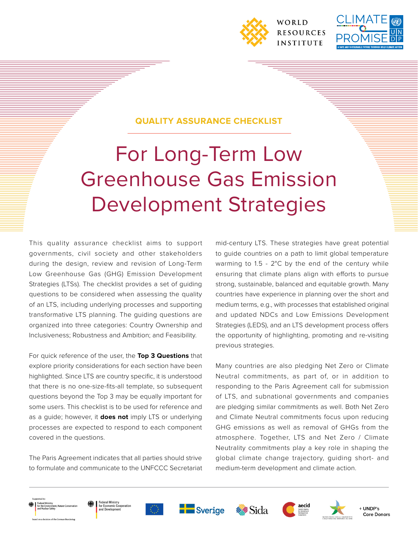



#### **QUALITY ASSURANCE CHECKLIST**

# For Long-Term Low Greenhouse Gas Emission Development Strategies

This quality assurance checklist aims to support governments, civil society and other stakeholders during the design, review and revision of Long-Term Low Greenhouse Gas (GHG) Emission Development Strategies (LTSs). The checklist provides a set of guiding questions to be considered when assessing the quality of an LTS, including underlying processes and supporting transformative LTS planning. The guiding questions are organized into three categories: Country Ownership and Inclusiveness; Robustness and Ambition; and Feasibility.

For quick reference of the user, the **Top 3 Questions** that explore priority considerations for each section have been highlighted. Since LTS are country specific, it is understood that there is no one-size-fits-all template, so subsequent questions beyond the Top 3 may be equally important for some users. This checklist is to be used for reference and as a guide; however, it **does not** imply LTS or underlying processes are expected to respond to each component covered in the questions.

The Paris Agreement indicates that all parties should strive to formulate and communicate to the UNFCCC Secretariat mid-century LTS. These strategies have great potential to guide countries on a path to limit global temperature warming to 1.5 - 2°C by the end of the century while ensuring that climate plans align with efforts to pursue strong, sustainable, balanced and equitable growth. Many countries have experience in planning over the short and medium terms, e.g., with processes that established original and updated NDCs and Low Emissions Development Strategies (LEDS), and an LTS development process offers the opportunity of highlighting, promoting and re-visiting previous strategies.

Many countries are also pledging Net Zero or Climate Neutral commitments, as part of, or in addition to responding to the Paris Agreement call for submission of LTS, and subnational governments and companies are pledging similar commitments as well. Both Net Zero and Climate Neutral commitments focus upon reducing GHG emissions as well as removal of GHGs from the atmosphere. Together, LTS and Net Zero / Climate Neutrality commitments play a key role in shaping the global climate change trajectory, guiding short- and medium-term development and climate action.











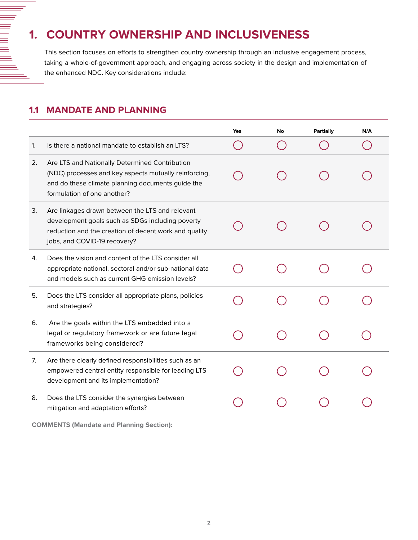# **1. COUNTRY OWNERSHIP AND INCLUSIVENESS**

This section focuses on efforts to strengthen country ownership through an inclusive engagement process, taking a whole-of-government approach, and engaging across society in the design and implementation of the enhanced NDC. Key considerations include:

#### **1.1 MANDATE AND PLANNING**

<u>Manual</u>

|    |                                                                                                                                                                                              | Yes | No | Partially | N/A |
|----|----------------------------------------------------------------------------------------------------------------------------------------------------------------------------------------------|-----|----|-----------|-----|
| 1. | Is there a national mandate to establish an LTS?                                                                                                                                             |     |    |           |     |
| 2. | Are LTS and Nationally Determined Contribution<br>(NDC) processes and key aspects mutually reinforcing,<br>and do these climate planning documents guide the<br>formulation of one another?  |     |    |           |     |
| 3. | Are linkages drawn between the LTS and relevant<br>development goals such as SDGs including poverty<br>reduction and the creation of decent work and quality<br>jobs, and COVID-19 recovery? |     |    |           |     |
| 4. | Does the vision and content of the LTS consider all<br>appropriate national, sectoral and/or sub-national data<br>and models such as current GHG emission levels?                            |     |    |           |     |
| 5. | Does the LTS consider all appropriate plans, policies<br>and strategies?                                                                                                                     |     |    |           |     |
| 6. | Are the goals within the LTS embedded into a<br>legal or regulatory framework or are future legal<br>frameworks being considered?                                                            |     |    |           |     |
| 7. | Are there clearly defined responsibilities such as an<br>empowered central entity responsible for leading LTS<br>development and its implementation?                                         |     |    |           |     |
| 8. | Does the LTS consider the synergies between<br>mitigation and adaptation efforts?                                                                                                            |     |    |           |     |

**COMMENTS (Mandate and Planning Section):**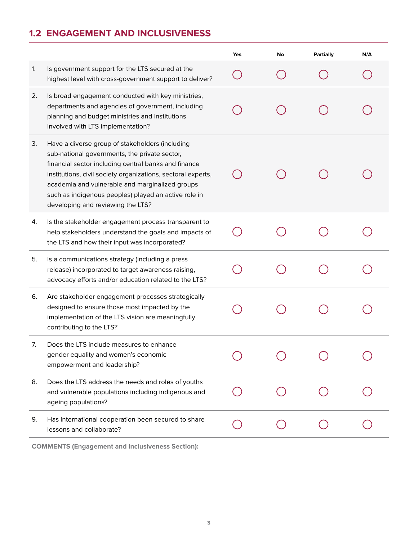# **1.2 ENGAGEMENT AND INCLUSIVENESS**

|    |                                                                                                                                                                                                                                                                                                                                                                          | <b>Yes</b> | No | Partially | N/A |
|----|--------------------------------------------------------------------------------------------------------------------------------------------------------------------------------------------------------------------------------------------------------------------------------------------------------------------------------------------------------------------------|------------|----|-----------|-----|
| 1. | Is government support for the LTS secured at the<br>highest level with cross-government support to deliver?                                                                                                                                                                                                                                                              |            |    |           |     |
| 2. | Is broad engagement conducted with key ministries,<br>departments and agencies of government, including<br>planning and budget ministries and institutions<br>involved with LTS implementation?                                                                                                                                                                          |            |    |           |     |
| 3. | Have a diverse group of stakeholders (including<br>sub-national governments, the private sector,<br>financial sector including central banks and finance<br>institutions, civil society organizations, sectoral experts,<br>academia and vulnerable and marginalized groups<br>such as indigenous peoples) played an active role in<br>developing and reviewing the LTS? |            |    |           |     |
| 4. | Is the stakeholder engagement process transparent to<br>help stakeholders understand the goals and impacts of<br>the LTS and how their input was incorporated?                                                                                                                                                                                                           |            |    |           |     |
| 5. | Is a communications strategy (including a press<br>release) incorporated to target awareness raising,<br>advocacy efforts and/or education related to the LTS?                                                                                                                                                                                                           |            |    |           |     |
| 6. | Are stakeholder engagement processes strategically<br>designed to ensure those most impacted by the<br>implementation of the LTS vision are meaningfully<br>contributing to the LTS?                                                                                                                                                                                     |            |    |           |     |
| 7. | Does the LTS include measures to enhance<br>gender equality and women's economic<br>empowerment and leadership?                                                                                                                                                                                                                                                          |            |    |           |     |
| 8. | Does the LTS address the needs and roles of youths<br>and vulnerable populations including indigenous and<br>ageing populations?                                                                                                                                                                                                                                         |            |    |           |     |
| 9. | Has international cooperation been secured to share<br>lessons and collaborate?                                                                                                                                                                                                                                                                                          |            |    |           |     |

**COMMENTS (Engagement and Inclusiveness Section):**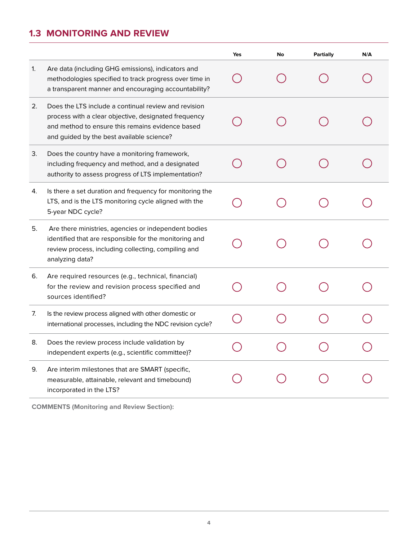## **1.3 MONITORING AND REVIEW**

|    |                                                                                                                                                                                                               | Yes | No | <b>Partially</b> | N/A |
|----|---------------------------------------------------------------------------------------------------------------------------------------------------------------------------------------------------------------|-----|----|------------------|-----|
| 1. | Are data (including GHG emissions), indicators and<br>methodologies specified to track progress over time in<br>a transparent manner and encouraging accountability?                                          |     |    |                  |     |
| 2. | Does the LTS include a continual review and revision<br>process with a clear objective, designated frequency<br>and method to ensure this remains evidence based<br>and guided by the best available science? |     |    |                  |     |
| 3. | Does the country have a monitoring framework,<br>including frequency and method, and a designated<br>authority to assess progress of LTS implementation?                                                      |     |    |                  |     |
| 4. | Is there a set duration and frequency for monitoring the<br>LTS, and is the LTS monitoring cycle aligned with the<br>5-year NDC cycle?                                                                        |     |    |                  |     |
| 5. | Are there ministries, agencies or independent bodies<br>identified that are responsible for the monitoring and<br>review process, including collecting, compiling and<br>analyzing data?                      |     |    |                  |     |
| 6. | Are required resources (e.g., technical, financial)<br>for the review and revision process specified and<br>sources identified?                                                                               |     |    |                  |     |
| 7. | Is the review process aligned with other domestic or<br>international processes, including the NDC revision cycle?                                                                                            |     |    |                  |     |
| 8. | Does the review process include validation by<br>independent experts (e.g., scientific committee)?                                                                                                            |     |    |                  |     |
| 9. | Are interim milestones that are SMART (specific,<br>measurable, attainable, relevant and timebound)<br>incorporated in the LTS?                                                                               |     |    |                  |     |
|    |                                                                                                                                                                                                               |     |    |                  |     |

**COMMENTS (Monitoring and Review Section):**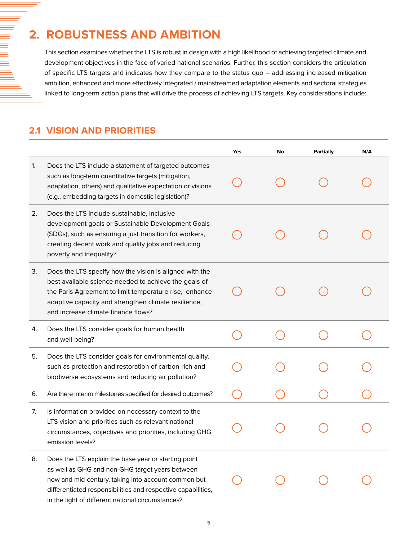# **2. ROBUSTNESS AND AMBITION**

This section examines whether the LTS is robust in design with a high likelihood of achieving targeted climate and development objectives in the face of varied national scenarios. Further, this section considers the articulation of specific LTS targets and indicates how they compare to the status quo – addressing increased mitigation ambition, enhanced and more effectively integrated / mainstreamed adaptation elements and sectoral strategies linked to long-term action plans that will drive the process of achieving LTS targets. Key considerations include:

#### **2.1 VISION AND PRIORITIES**

|    |                                                                                                                                                                                                                                                                                     | Yes | No | <b>Partially</b> | N/A |
|----|-------------------------------------------------------------------------------------------------------------------------------------------------------------------------------------------------------------------------------------------------------------------------------------|-----|----|------------------|-----|
| 1. | Does the LTS include a statement of targeted outcomes<br>such as long-term quantitative targets (mitigation,<br>adaptation, others) and qualitative expectation or visions<br>(e.g., embedding targets in domestic legislation)?                                                    |     |    |                  |     |
| 2. | Does the LTS include sustainable, inclusive<br>development goals or Sustainable Development Goals<br>(SDGs), such as ensuring a just transition for workers,<br>creating decent work and quality jobs and reducing<br>poverty and inequality?                                       |     |    |                  |     |
| 3. | Does the LTS specify how the vision is aligned with the<br>best available science needed to achieve the goals of<br>the Paris Agreement to limit temperature rise, enhance<br>adaptive capacity and strengthen climate resilience,<br>and increase climate finance flows?           |     |    |                  |     |
| 4. | Does the LTS consider goals for human health<br>and well-being?                                                                                                                                                                                                                     |     |    |                  |     |
| 5. | Does the LTS consider goals for environmental quality,<br>such as protection and restoration of carbon-rich and<br>biodiverse ecosystems and reducing air pollution?                                                                                                                |     |    |                  |     |
| 6. | Are there interim milestones specified for desired outcomes?                                                                                                                                                                                                                        |     |    |                  |     |
| 7. | Is information provided on necessary context to the<br>LTS vision and priorities such as relevant national<br>circumstances, objectives and priorities, including GHG<br>emission levels?                                                                                           |     |    |                  |     |
| 8. | Does the LTS explain the base year or starting point<br>as well as GHG and non-GHG target years between<br>now and mid-century, taking into account common but<br>differentiated responsibilities and respective capabilities,<br>in the light of different national circumstances? |     |    |                  |     |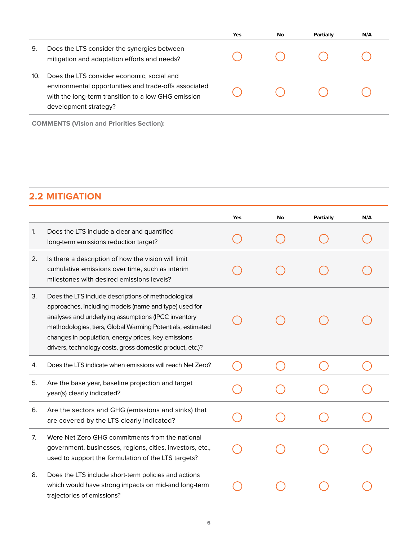|     |                                                                                                                                                                                     | Yes | No | Partially | N/A |
|-----|-------------------------------------------------------------------------------------------------------------------------------------------------------------------------------------|-----|----|-----------|-----|
| 9.  | Does the LTS consider the synergies between<br>mitigation and adaptation efforts and needs?                                                                                         |     |    |           |     |
| 10. | Does the LTS consider economic, social and<br>environmental opportunities and trade-offs associated<br>with the long-term transition to a low GHG emission<br>development strategy? |     |    |           |     |

**COMMENTS (Vision and Priorities Section):**

#### **2.2 MITIGATION**

|    |                                                                                                                                                                                                                                                                                                                                                       | Yes | No | Partially | N/A |
|----|-------------------------------------------------------------------------------------------------------------------------------------------------------------------------------------------------------------------------------------------------------------------------------------------------------------------------------------------------------|-----|----|-----------|-----|
| 1. | Does the LTS include a clear and quantified<br>long-term emissions reduction target?                                                                                                                                                                                                                                                                  |     |    |           |     |
| 2. | Is there a description of how the vision will limit<br>cumulative emissions over time, such as interim<br>milestones with desired emissions levels?                                                                                                                                                                                                   |     |    |           |     |
| 3. | Does the LTS include descriptions of methodological<br>approaches, including models (name and type) used for<br>analyses and underlying assumptions (IPCC inventory<br>methodologies, tiers, Global Warming Potentials, estimated<br>changes in population, energy prices, key emissions<br>drivers, technology costs, gross domestic product, etc.)? |     |    |           |     |
| 4. | Does the LTS indicate when emissions will reach Net Zero?                                                                                                                                                                                                                                                                                             |     |    |           |     |
| 5. | Are the base year, baseline projection and target<br>year(s) clearly indicated?                                                                                                                                                                                                                                                                       |     |    |           |     |
| 6. | Are the sectors and GHG (emissions and sinks) that<br>are covered by the LTS clearly indicated?                                                                                                                                                                                                                                                       |     |    |           |     |
| 7. | Were Net Zero GHG commitments from the national<br>government, businesses, regions, cities, investors, etc.,<br>used to support the formulation of the LTS targets?                                                                                                                                                                                   |     |    |           |     |
| 8. | Does the LTS include short-term policies and actions<br>which would have strong impacts on mid-and long-term<br>trajectories of emissions?                                                                                                                                                                                                            |     |    |           |     |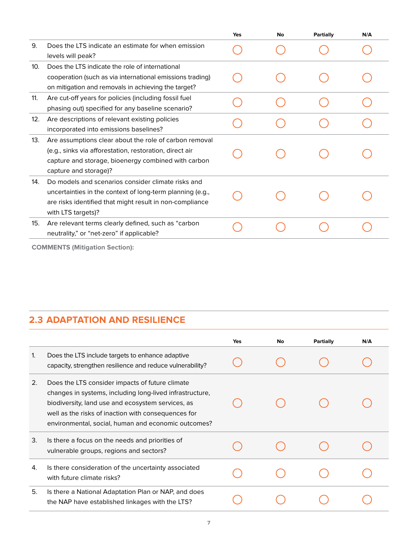|     |                                                                                                                                                                                                   | Yes | No | Partially | N/A |
|-----|---------------------------------------------------------------------------------------------------------------------------------------------------------------------------------------------------|-----|----|-----------|-----|
| 9.  | Does the LTS indicate an estimate for when emission<br>levels will peak?                                                                                                                          |     |    |           |     |
| 10. | Does the LTS indicate the role of international<br>cooperation (such as via international emissions trading)<br>on mitigation and removals in achieving the target?                               |     |    |           |     |
| 11. | Are cut-off years for policies (including fossil fuel<br>phasing out) specified for any baseline scenario?                                                                                        |     |    |           |     |
| 12. | Are descriptions of relevant existing policies<br>incorporated into emissions baselines?                                                                                                          |     |    |           |     |
| 13. | Are assumptions clear about the role of carbon removal<br>(e.g., sinks via afforestation, restoration, direct air<br>capture and storage, bioenergy combined with carbon<br>capture and storage)? |     |    |           |     |
| 14. | Do models and scenarios consider climate risks and<br>uncertainties in the context of long-term planning (e.g.,<br>are risks identified that might result in non-compliance<br>with LTS targets)? |     |    |           |     |
| 15. | Are relevant terms clearly defined, such as "carbon<br>neutrality," or "net-zero" if applicable?                                                                                                  |     |    |           |     |
|     |                                                                                                                                                                                                   |     |    |           |     |

**COMMENTS (Mitigation Section):**

#### **2.3 ADAPTATION AND RESILIENCE**

|    |                                                                                                                                                                                                                                                                                | Yes | No | Partially | N/A |
|----|--------------------------------------------------------------------------------------------------------------------------------------------------------------------------------------------------------------------------------------------------------------------------------|-----|----|-----------|-----|
| 1. | Does the LTS include targets to enhance adaptive<br>capacity, strengthen resilience and reduce vulnerability?                                                                                                                                                                  |     |    |           |     |
| 2. | Does the LTS consider impacts of future climate<br>changes in systems, including long-lived infrastructure,<br>biodiversity, land use and ecosystem services, as<br>well as the risks of inaction with consequences for<br>environmental, social, human and economic outcomes? |     |    |           |     |
| 3. | Is there a focus on the needs and priorities of<br>vulnerable groups, regions and sectors?                                                                                                                                                                                     |     |    |           |     |
| 4. | Is there consideration of the uncertainty associated<br>with future climate risks?                                                                                                                                                                                             |     |    |           |     |
| 5. | Is there a National Adaptation Plan or NAP, and does<br>the NAP have established linkages with the LTS?                                                                                                                                                                        |     |    |           |     |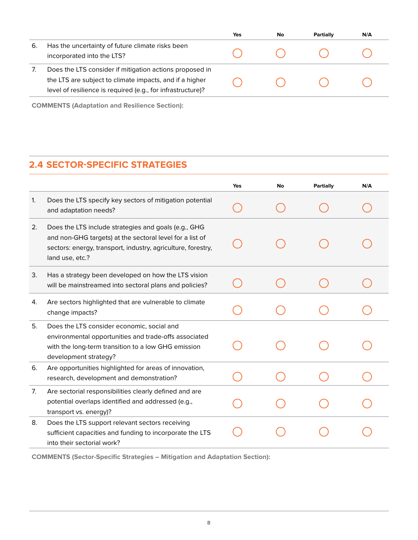|    |                                                                                                                                                                                   | Yes | No | Partially | N/A |
|----|-----------------------------------------------------------------------------------------------------------------------------------------------------------------------------------|-----|----|-----------|-----|
| 6. | Has the uncertainty of future climate risks been<br>incorporated into the LTS?                                                                                                    |     |    |           |     |
|    | Does the LTS consider if mitigation actions proposed in<br>the LTS are subject to climate impacts, and if a higher<br>level of resilience is required (e.g., for infrastructure)? |     |    |           |     |

**COMMENTS (Adaptation and Resilience Section):**

## **2.4 SECTOR-SPECIFIC STRATEGIES**

|    |                                                                                                                                                                                                     | Yes | No | Partially | N/A |
|----|-----------------------------------------------------------------------------------------------------------------------------------------------------------------------------------------------------|-----|----|-----------|-----|
| 1. | Does the LTS specify key sectors of mitigation potential<br>and adaptation needs?                                                                                                                   |     |    |           |     |
| 2. | Does the LTS include strategies and goals (e.g., GHG<br>and non-GHG targets) at the sectoral level for a list of<br>sectors: energy, transport, industry, agriculture, forestry,<br>land use, etc.? |     |    |           |     |
| 3. | Has a strategy been developed on how the LTS vision<br>will be mainstreamed into sectoral plans and policies?                                                                                       |     |    |           |     |
| 4. | Are sectors highlighted that are vulnerable to climate<br>change impacts?                                                                                                                           |     |    |           |     |
| 5. | Does the LTS consider economic, social and<br>environmental opportunities and trade-offs associated<br>with the long-term transition to a low GHG emission<br>development strategy?                 |     |    |           |     |
| 6. | Are opportunities highlighted for areas of innovation,<br>research, development and demonstration?                                                                                                  |     |    |           |     |
| 7. | Are sectorial responsibilities clearly defined and are<br>potential overlaps identified and addressed (e.g.,<br>transport vs. energy)?                                                              |     |    |           |     |
| 8. | Does the LTS support relevant sectors receiving<br>sufficient capacities and funding to incorporate the LTS<br>into their sectorial work?                                                           |     |    |           |     |

**COMMENTS (Sector-Specific Strategies – Mitigation and Adaptation Section):**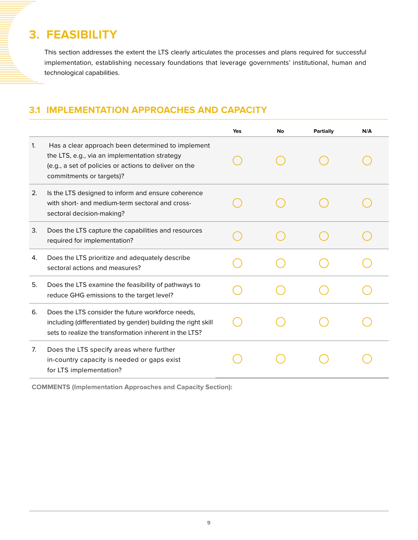# **3. FEASIBILITY**

This section addresses the extent the LTS clearly articulates the processes and plans required for successful implementation, establishing necessary foundations that leverage governments' institutional, human and technological capabilities.

#### **3.1 IMPLEMENTATION APPROACHES AND CAPACITY**

|    |                                                                                                                                                                                         | Yes | No | Partially | N/A |
|----|-----------------------------------------------------------------------------------------------------------------------------------------------------------------------------------------|-----|----|-----------|-----|
| 1. | Has a clear approach been determined to implement<br>the LTS, e.g., via an implementation strategy<br>(e.g., a set of policies or actions to deliver on the<br>commitments or targets)? |     |    |           |     |
| 2. | Is the LTS designed to inform and ensure coherence<br>with short- and medium-term sectoral and cross-<br>sectoral decision-making?                                                      |     |    |           |     |
| 3. | Does the LTS capture the capabilities and resources<br>required for implementation?                                                                                                     |     |    |           |     |
| 4. | Does the LTS prioritize and adequately describe<br>sectoral actions and measures?                                                                                                       |     |    |           |     |
| 5. | Does the LTS examine the feasibility of pathways to<br>reduce GHG emissions to the target level?                                                                                        |     |    |           |     |
| 6. | Does the LTS consider the future workforce needs,<br>including (differentiated by gender) building the right skill<br>sets to realize the transformation inherent in the LTS?           |     |    |           |     |
| 7. | Does the LTS specify areas where further<br>in-country capacity is needed or gaps exist<br>for LTS implementation?                                                                      |     |    |           |     |

**COMMENTS (Implementation Approaches and Capacity Section):**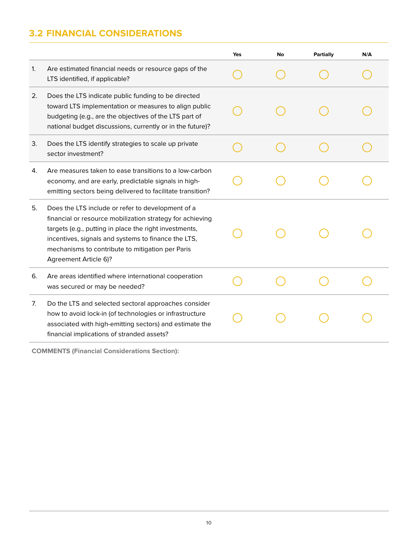# **3.2 FINANCIAL CONSIDERATIONS**

|    |                                                                                                                                                                                                                                                                                                              | Yes | No | Partially | N/A |
|----|--------------------------------------------------------------------------------------------------------------------------------------------------------------------------------------------------------------------------------------------------------------------------------------------------------------|-----|----|-----------|-----|
| 1. | Are estimated financial needs or resource gaps of the<br>LTS identified, if applicable?                                                                                                                                                                                                                      |     |    |           |     |
| 2. | Does the LTS indicate public funding to be directed<br>toward LTS implementation or measures to align public<br>budgeting (e.g., are the objectives of the LTS part of<br>national budget discussions, currently or in the future)?                                                                          |     |    |           |     |
| 3. | Does the LTS identify strategies to scale up private<br>sector investment?                                                                                                                                                                                                                                   |     |    |           |     |
| 4. | Are measures taken to ease transitions to a low-carbon<br>economy, and are early, predictable signals in high-<br>emitting sectors being delivered to facilitate transition?                                                                                                                                 |     |    |           |     |
| 5. | Does the LTS include or refer to development of a<br>financial or resource mobilization strategy for achieving<br>targets (e.g., putting in place the right investments,<br>incentives, signals and systems to finance the LTS,<br>mechanisms to contribute to mitigation per Paris<br>Agreement Article 6)? |     |    |           |     |
| 6. | Are areas identified where international cooperation<br>was secured or may be needed?                                                                                                                                                                                                                        |     |    |           |     |
| 7. | Do the LTS and selected sectoral approaches consider<br>how to avoid lock-in (of technologies or infrastructure<br>associated with high-emitting sectors) and estimate the<br>financial implications of stranded assets?                                                                                     |     |    |           |     |
|    |                                                                                                                                                                                                                                                                                                              |     |    |           |     |

**COMMENTS (Financial Considerations Section):**